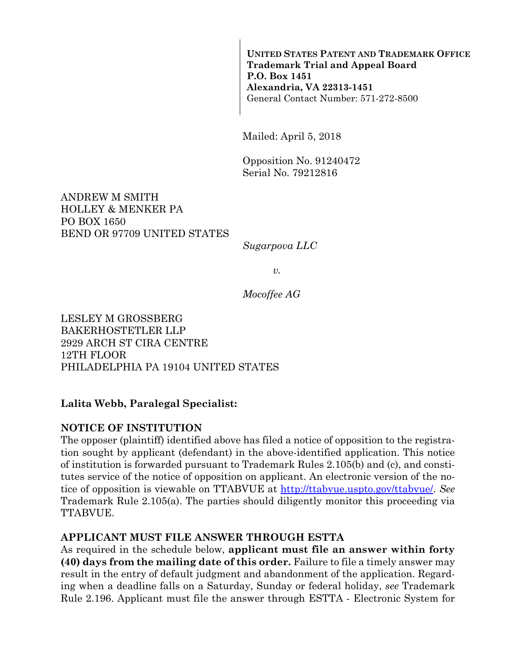**UNITED STATES PATENT AND TRADEMARK OFFICE Trademark Trial and Appeal Board P.O. Box 1451 Alexandria, VA 22313-1451**  General Contact Number: 571-272-8500

Mailed: April 5, 2018

Opposition No. 91240472 Serial No. 79212816

ANDREW M SMITH HOLLEY & MENKER PA PO BOX 1650 BEND OR 97709 UNITED STATES

*Sugarpova LLC* 

*v.* 

*Mocoffee AG* 

LESLEY M GROSSBERG BAKERHOSTETLER LLP 2929 ARCH ST CIRA CENTRE 12TH FLOOR PHILADELPHIA PA 19104 UNITED STATES

#### **Lalita Webb, Paralegal Specialist:**

#### **NOTICE OF INSTITUTION**

The opposer (plaintiff) identified above has filed a notice of opposition to the registration sought by applicant (defendant) in the above-identified application. This notice of institution is forwarded pursuant to Trademark Rules 2.105(b) and (c), and constitutes service of the notice of opposition on applicant. An electronic version of the notice of opposition is viewable on TTABVUE at http://ttabvue.uspto.gov/ttabvue/. *See* Trademark Rule 2.105(a). The parties should diligently monitor this proceeding via TTABVUE.

#### **APPLICANT MUST FILE ANSWER THROUGH ESTTA**

As required in the schedule below, **applicant must file an answer within forty (40) days from the mailing date of this order.** Failure to file a timely answer may result in the entry of default judgment and abandonment of the application. Regarding when a deadline falls on a Saturday, Sunday or federal holiday, *see* Trademark Rule 2.196. Applicant must file the answer through ESTTA - Electronic System for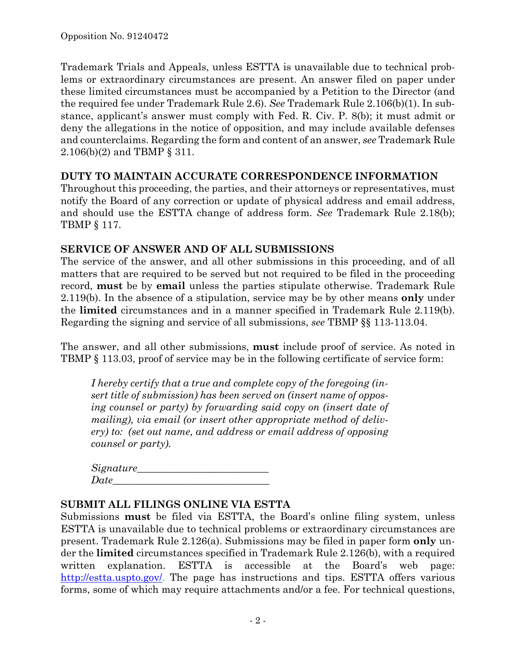Trademark Trials and Appeals, unless ESTTA is unavailable due to technical problems or extraordinary circumstances are present. An answer filed on paper under these limited circumstances must be accompanied by a Petition to the Director (and the required fee under Trademark Rule 2.6). *See* Trademark Rule 2.106(b)(1). In substance, applicant's answer must comply with Fed. R. Civ. P. 8(b); it must admit or deny the allegations in the notice of opposition, and may include available defenses and counterclaims. Regarding the form and content of an answer, *see* Trademark Rule 2.106(b)(2) and TBMP § 311.

### **DUTY TO MAINTAIN ACCURATE CORRESPONDENCE INFORMATION**

Throughout this proceeding, the parties, and their attorneys or representatives, must notify the Board of any correction or update of physical address and email address, and should use the ESTTA change of address form. *See* Trademark Rule 2.18(b); TBMP § 117.

# **SERVICE OF ANSWER AND OF ALL SUBMISSIONS**

The service of the answer, and all other submissions in this proceeding, and of all matters that are required to be served but not required to be filed in the proceeding record, **must** be by **email** unless the parties stipulate otherwise. Trademark Rule 2.119(b). In the absence of a stipulation, service may be by other means **only** under the **limited** circumstances and in a manner specified in Trademark Rule 2.119(b). Regarding the signing and service of all submissions, *see* TBMP §§ 113-113.04.

The answer, and all other submissions, **must** include proof of service. As noted in TBMP § 113.03, proof of service may be in the following certificate of service form:

*I hereby certify that a true and complete copy of the foregoing (insert title of submission) has been served on (insert name of opposing counsel or party) by forwarding said copy on (insert date of mailing), via email (or insert other appropriate method of delivery) to: (set out name, and address or email address of opposing counsel or party).* 

| Signature_ |  |  |
|------------|--|--|
| Date       |  |  |

### **SUBMIT ALL FILINGS ONLINE VIA ESTTA**

Submissions **must** be filed via ESTTA, the Board's online filing system, unless ESTTA is unavailable due to technical problems or extraordinary circumstances are present. Trademark Rule 2.126(a). Submissions may be filed in paper form **only** under the **limited** circumstances specified in Trademark Rule 2.126(b), with a required written explanation. ESTTA is accessible at the Board's web page: http://estta.uspto.gov/. The page has instructions and tips. ESTTA offers various forms, some of which may require attachments and/or a fee. For technical questions,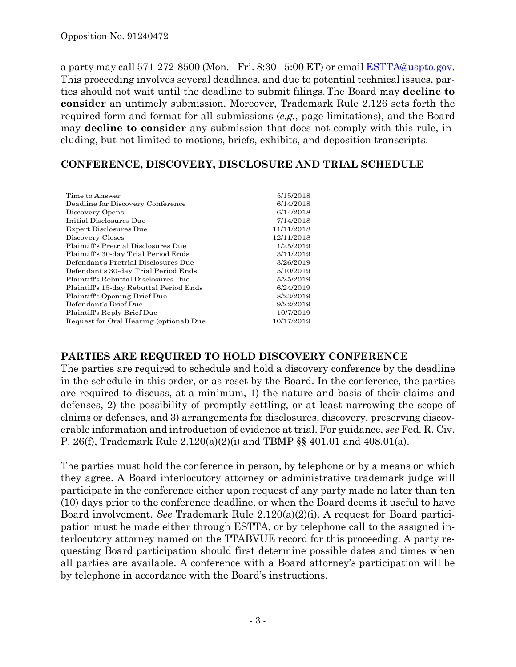a party may call 571-272-8500 (Mon. - Fri. 8:30 - 5:00 ET) or email ESTTA@uspto.gov. This proceeding involves several deadlines, and due to potential technical issues, parties should not wait until the deadline to submit filings. The Board may **decline to consider** an untimely submission. Moreover, Trademark Rule 2.126 sets forth the required form and format for all submissions (*e.g.*, page limitations), and the Board may **decline to consider** any submission that does not comply with this rule, including, but not limited to motions, briefs, exhibits, and deposition transcripts.

## **CONFERENCE, DISCOVERY, DISCLOSURE AND TRIAL SCHEDULE**

| 6/14/2018<br>6/14/2018<br>7/14/2018<br>11/11/2018<br>12/11/2018<br>1/25/2019<br>3/11/2019<br>3/26/2019<br>5/10/2019<br>5/25/2019<br>6/24/2019<br>8/23/2019<br>9/22/2019<br>10/7/2019<br>10/17/2019 | Time to Answer                          | 5/15/2018 |
|----------------------------------------------------------------------------------------------------------------------------------------------------------------------------------------------------|-----------------------------------------|-----------|
|                                                                                                                                                                                                    | Deadline for Discovery Conference       |           |
|                                                                                                                                                                                                    | Discovery Opens                         |           |
|                                                                                                                                                                                                    | Initial Disclosures Due                 |           |
|                                                                                                                                                                                                    | Expert Disclosures Due                  |           |
|                                                                                                                                                                                                    | Discovery Closes                        |           |
|                                                                                                                                                                                                    | Plaintiff's Pretrial Disclosures Due    |           |
|                                                                                                                                                                                                    | Plaintiff's 30-day Trial Period Ends    |           |
|                                                                                                                                                                                                    | Defendant's Pretrial Disclosures Due    |           |
|                                                                                                                                                                                                    | Defendant's 30-day Trial Period Ends    |           |
|                                                                                                                                                                                                    | Plaintiff's Rebuttal Disclosures Due    |           |
|                                                                                                                                                                                                    | Plaintiff's 15-day Rebuttal Period Ends |           |
|                                                                                                                                                                                                    | Plaintiff's Opening Brief Due           |           |
|                                                                                                                                                                                                    | Defendant's Brief Due                   |           |
|                                                                                                                                                                                                    | Plaintiff's Reply Brief Due             |           |
|                                                                                                                                                                                                    | Request for Oral Hearing (optional) Due |           |

### **PARTIES ARE REQUIRED TO HOLD DISCOVERY CONFERENCE**

The parties are required to schedule and hold a discovery conference by the deadline in the schedule in this order, or as reset by the Board. In the conference, the parties are required to discuss, at a minimum, 1) the nature and basis of their claims and defenses, 2) the possibility of promptly settling, or at least narrowing the scope of claims or defenses, and 3) arrangements for disclosures, discovery, preserving discoverable information and introduction of evidence at trial. For guidance, *see* Fed. R. Civ. P. 26(f), Trademark Rule 2.120(a)(2)(i) and TBMP §§ 401.01 and 408.01(a).

The parties must hold the conference in person, by telephone or by a means on which they agree. A Board interlocutory attorney or administrative trademark judge will participate in the conference either upon request of any party made no later than ten (10) days prior to the conference deadline, or when the Board deems it useful to have Board involvement. *See* Trademark Rule 2.120(a)(2)(i). A request for Board participation must be made either through ESTTA, or by telephone call to the assigned interlocutory attorney named on the TTABVUE record for this proceeding. A party requesting Board participation should first determine possible dates and times when all parties are available. A conference with a Board attorney's participation will be by telephone in accordance with the Board's instructions.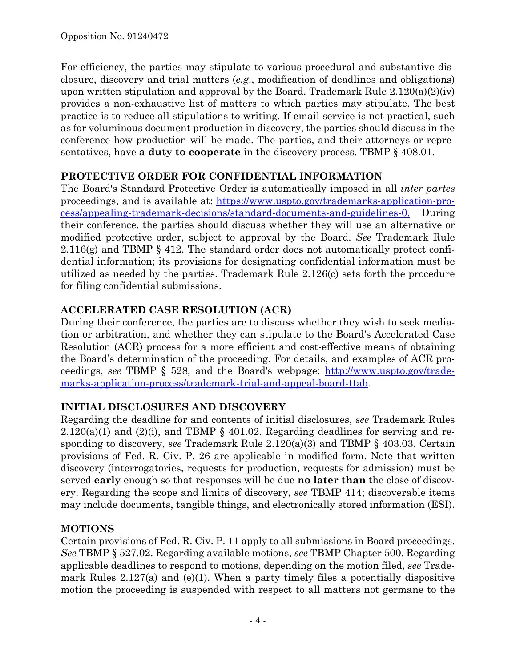For efficiency, the parties may stipulate to various procedural and substantive disclosure, discovery and trial matters (*e.g*., modification of deadlines and obligations) upon written stipulation and approval by the Board. Trademark Rule  $2.120(a)(2)(iv)$ provides a non-exhaustive list of matters to which parties may stipulate. The best practice is to reduce all stipulations to writing. If email service is not practical, such as for voluminous document production in discovery, the parties should discuss in the conference how production will be made. The parties, and their attorneys or representatives, have **a duty to cooperate** in the discovery process. TBMP § 408.01.

## **PROTECTIVE ORDER FOR CONFIDENTIAL INFORMATION**

The Board's Standard Protective Order is automatically imposed in all *inter partes* proceedings, and is available at: https://www.uspto.gov/trademarks-application-process/appealing-trademark-decisions/standard-documents-and-guidelines-0. During their conference, the parties should discuss whether they will use an alternative or modified protective order, subject to approval by the Board. *See* Trademark Rule 2.116(g) and TBMP § 412. The standard order does not automatically protect confidential information; its provisions for designating confidential information must be utilized as needed by the parties. Trademark Rule 2.126(c) sets forth the procedure for filing confidential submissions.

# **ACCELERATED CASE RESOLUTION (ACR)**

During their conference, the parties are to discuss whether they wish to seek mediation or arbitration, and whether they can stipulate to the Board's Accelerated Case Resolution (ACR) process for a more efficient and cost-effective means of obtaining the Board's determination of the proceeding. For details, and examples of ACR proceedings, *see* TBMP § 528, and the Board's webpage: http://www.uspto.gov/trademarks-application-process/trademark-trial-and-appeal-board-ttab.

# **INITIAL DISCLOSURES AND DISCOVERY**

Regarding the deadline for and contents of initial disclosures, *see* Trademark Rules  $2.120(a)(1)$  and  $(2)(i)$ , and TBMP § 401.02. Regarding deadlines for serving and responding to discovery, *see* Trademark Rule 2.120(a)(3) and TBMP § 403.03. Certain provisions of Fed. R. Civ. P. 26 are applicable in modified form. Note that written discovery (interrogatories, requests for production, requests for admission) must be served **early** enough so that responses will be due **no later than** the close of discovery. Regarding the scope and limits of discovery, *see* TBMP 414; discoverable items may include documents, tangible things, and electronically stored information (ESI).

# **MOTIONS**

Certain provisions of Fed. R. Civ. P. 11 apply to all submissions in Board proceedings. *See* TBMP § 527.02. Regarding available motions, *see* TBMP Chapter 500. Regarding applicable deadlines to respond to motions, depending on the motion filed, *see* Trademark Rules 2.127(a) and (e)(1). When a party timely files a potentially dispositive motion the proceeding is suspended with respect to all matters not germane to the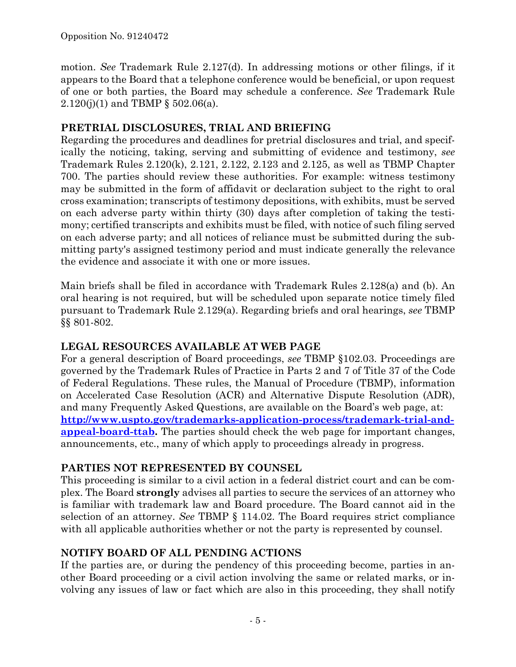motion. *See* Trademark Rule 2.127(d). In addressing motions or other filings, if it appears to the Board that a telephone conference would be beneficial, or upon request of one or both parties, the Board may schedule a conference. *See* Trademark Rule 2.120(j)(1) and TBMP § 502.06(a).

## **PRETRIAL DISCLOSURES, TRIAL AND BRIEFING**

Regarding the procedures and deadlines for pretrial disclosures and trial, and specifically the noticing, taking, serving and submitting of evidence and testimony, *see* Trademark Rules 2.120(k), 2.121, 2.122, 2.123 and 2.125, as well as TBMP Chapter 700. The parties should review these authorities. For example: witness testimony may be submitted in the form of affidavit or declaration subject to the right to oral cross examination; transcripts of testimony depositions, with exhibits, must be served on each adverse party within thirty (30) days after completion of taking the testimony; certified transcripts and exhibits must be filed, with notice of such filing served on each adverse party; and all notices of reliance must be submitted during the submitting party's assigned testimony period and must indicate generally the relevance the evidence and associate it with one or more issues.

Main briefs shall be filed in accordance with Trademark Rules 2.128(a) and (b). An oral hearing is not required, but will be scheduled upon separate notice timely filed pursuant to Trademark Rule 2.129(a). Regarding briefs and oral hearings, *see* TBMP §§ 801-802.

# **LEGAL RESOURCES AVAILABLE AT WEB PAGE**

For a general description of Board proceedings, *see* TBMP §102.03. Proceedings are governed by the Trademark Rules of Practice in Parts 2 and 7 of Title 37 of the Code of Federal Regulations. These rules, the Manual of Procedure (TBMP), information on Accelerated Case Resolution (ACR) and Alternative Dispute Resolution (ADR), and many Frequently Asked Questions, are available on the Board's web page, at: **http://www.uspto.gov/trademarks-application-process/trademark-trial-andappeal-board-ttab.** The parties should check the web page for important changes, announcements, etc., many of which apply to proceedings already in progress.

# **PARTIES NOT REPRESENTED BY COUNSEL**

This proceeding is similar to a civil action in a federal district court and can be complex. The Board **strongly** advises all parties to secure the services of an attorney who is familiar with trademark law and Board procedure. The Board cannot aid in the selection of an attorney. *See* TBMP § 114.02. The Board requires strict compliance with all applicable authorities whether or not the party is represented by counsel.

# **NOTIFY BOARD OF ALL PENDING ACTIONS**

If the parties are, or during the pendency of this proceeding become, parties in another Board proceeding or a civil action involving the same or related marks, or involving any issues of law or fact which are also in this proceeding, they shall notify